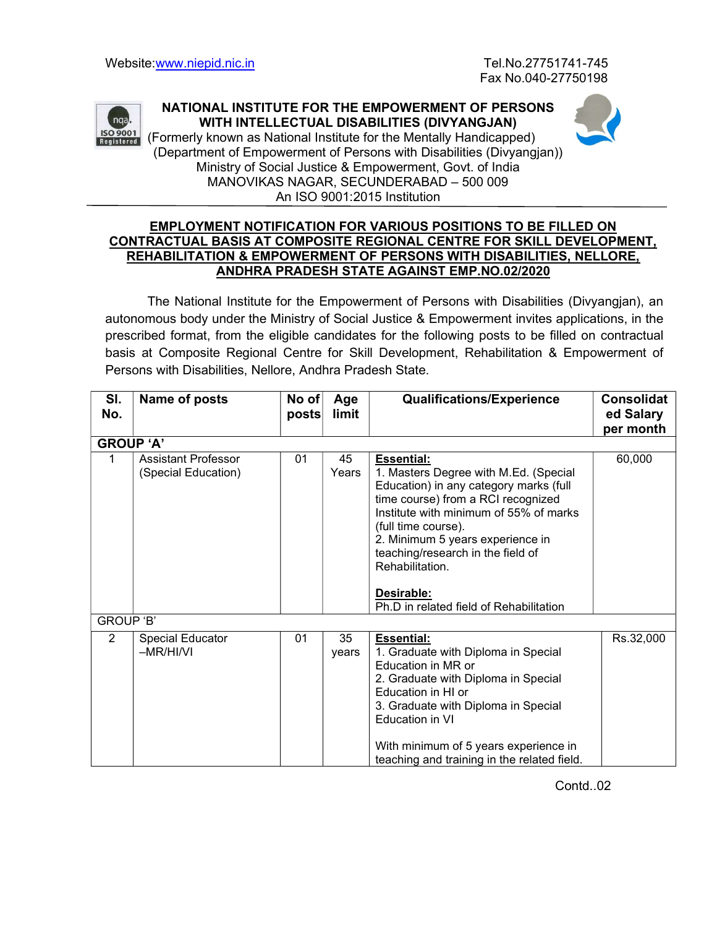

NATIONAL INSTITUTE FOR THE EMPOWERMENT OF PERSONS WITH INTELLECTUAL DISABILITIES (DIVYANGJAN)

So 9001 (Formerly known as National Institute for the Mentally Handicapped) (Department of Empowerment of Persons with Disabilities (Divyangjan)) Ministry of Social Justice & Empowerment, Govt. of India MANOVIKAS NAGAR, SECUNDERABAD – 500 009 An ISO 9001:2015 Institution

## EMPLOYMENT NOTIFICATION FOR VARIOUS POSITIONS TO BE FILLED ON CONTRACTUAL BASIS AT COMPOSITE REGIONAL CENTRE FOR SKILL DEVELOPMENT, REHABILITATION & EMPOWERMENT OF PERSONS WITH DISABILITIES, NELLORE, ANDHRA PRADESH STATE AGAINST EMP.NO.02/2020

The National Institute for the Empowerment of Persons with Disabilities (Divyangjan), an autonomous body under the Ministry of Social Justice & Empowerment invites applications, in the prescribed format, from the eligible candidates for the following posts to be filled on contractual basis at Composite Regional Centre for Skill Development, Rehabilitation & Empowerment of Persons with Disabilities, Nellore, Andhra Pradesh State.

| SI.<br>No.       | Name of posts                                     | No of<br>posts∣ | Age<br>limit | <b>Qualifications/Experience</b>                                                                                                                                                                                                                                                                                                                                 | <b>Consolidat</b><br>ed Salary<br>per month |  |  |  |
|------------------|---------------------------------------------------|-----------------|--------------|------------------------------------------------------------------------------------------------------------------------------------------------------------------------------------------------------------------------------------------------------------------------------------------------------------------------------------------------------------------|---------------------------------------------|--|--|--|
| <b>GROUP 'A'</b> |                                                   |                 |              |                                                                                                                                                                                                                                                                                                                                                                  |                                             |  |  |  |
| 1                | <b>Assistant Professor</b><br>(Special Education) | 01              | 45<br>Years  | <b>Essential:</b><br>1. Masters Degree with M.Ed. (Special<br>Education) in any category marks (full<br>time course) from a RCI recognized<br>Institute with minimum of 55% of marks<br>(full time course).<br>2. Minimum 5 years experience in<br>teaching/research in the field of<br>Rehabilitation.<br>Desirable:<br>Ph.D in related field of Rehabilitation | 60,000                                      |  |  |  |
| <b>GROUP 'B'</b> |                                                   |                 |              |                                                                                                                                                                                                                                                                                                                                                                  |                                             |  |  |  |
| $\overline{2}$   | Special Educator<br>$-MR/HI/VI$                   | 01              | 35<br>years  | <b>Essential:</b><br>1. Graduate with Diploma in Special<br>Education in MR or<br>2. Graduate with Diploma in Special<br>Education in HI or<br>3. Graduate with Diploma in Special<br>Education in VI<br>With minimum of 5 years experience in<br>teaching and training in the related field.                                                                    | Rs.32,000                                   |  |  |  |

Contd..02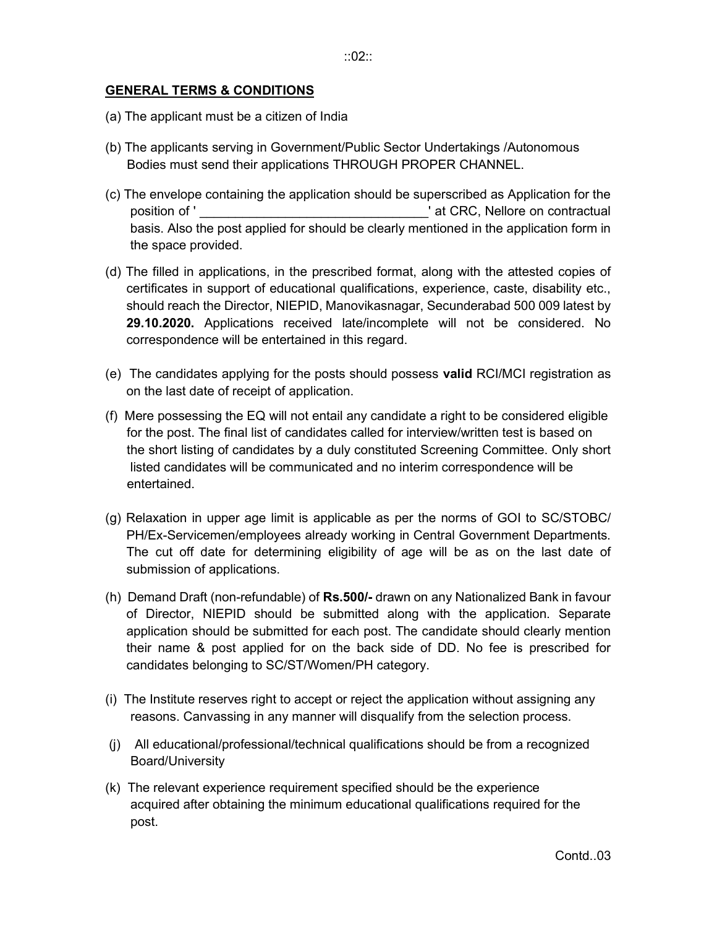## GENERAL TERMS & CONDITIONS

- (a) The applicant must be a citizen of India
- (b) The applicants serving in Government/Public Sector Undertakings /Autonomous Bodies must send their applications THROUGH PROPER CHANNEL.
- (c) The envelope containing the application should be superscribed as Application for the position of ' The settle of the settlement of ' at CRC, Nellore on contractual basis. Also the post applied for should be clearly mentioned in the application form in the space provided.
- (d) The filled in applications, in the prescribed format, along with the attested copies of certificates in support of educational qualifications, experience, caste, disability etc., should reach the Director, NIEPID, Manovikasnagar, Secunderabad 500 009 latest by 29.10.2020. Applications received late/incomplete will not be considered. No correspondence will be entertained in this regard.
- (e) The candidates applying for the posts should possess valid RCI/MCI registration as on the last date of receipt of application.
- (f) Mere possessing the EQ will not entail any candidate a right to be considered eligible for the post. The final list of candidates called for interview/written test is based on the short listing of candidates by a duly constituted Screening Committee. Only short listed candidates will be communicated and no interim correspondence will be entertained.
- (g) Relaxation in upper age limit is applicable as per the norms of GOI to SC/STOBC/ PH/Ex-Servicemen/employees already working in Central Government Departments. The cut off date for determining eligibility of age will be as on the last date of submission of applications.
- (h) Demand Draft (non-refundable) of Rs.500/- drawn on any Nationalized Bank in favour of Director, NIEPID should be submitted along with the application. Separate application should be submitted for each post. The candidate should clearly mention their name & post applied for on the back side of DD. No fee is prescribed for candidates belonging to SC/ST/Women/PH category.
- (i) The Institute reserves right to accept or reject the application without assigning any reasons. Canvassing in any manner will disqualify from the selection process.
- (j) All educational/professional/technical qualifications should be from a recognized Board/University
- (k) The relevant experience requirement specified should be the experience acquired after obtaining the minimum educational qualifications required for the post.